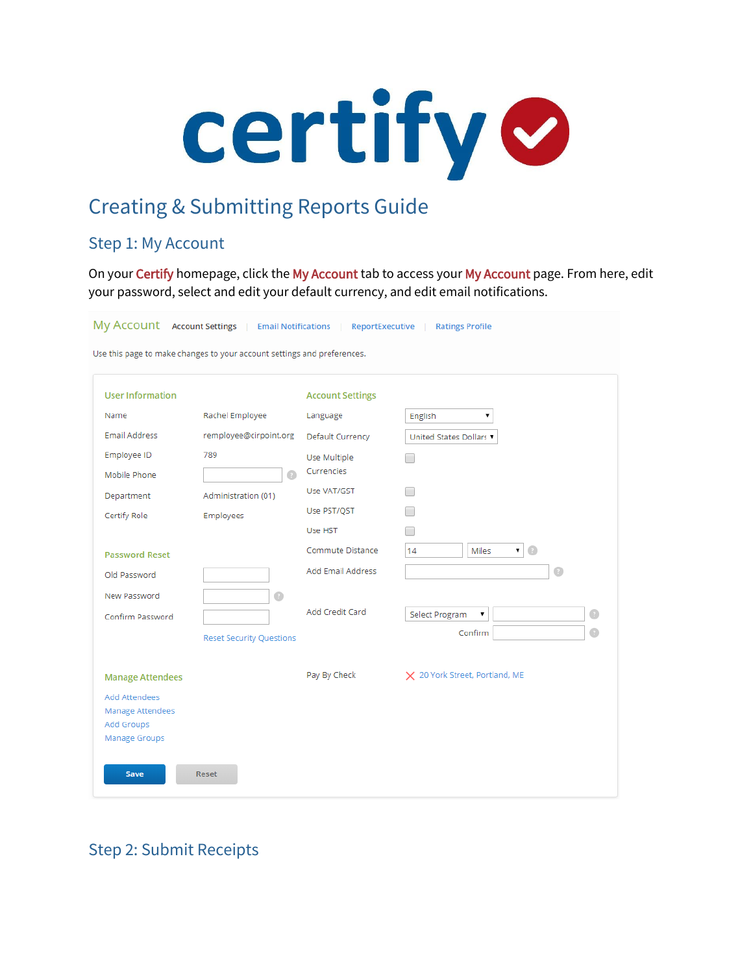

# Creating & Submitting Reports Guide

# Step 1: My Account

On your Certify homepage, click the My Account tab to access your My Account page. From here, edit your password, select and edit your default currency, and edit email notifications.

My ACCOUNT Account Settings | Email Notifications | ReportExecutive | Ratings Profile Use this page to make changes to your account settings and preferences. **User Information Account Settings** Name Rachel Employee English  $\pmb{\mathrm{v}}$ Language **Email Address** remployee@cirpoint.org United States Dollars ▼ **Default Currency** Employee ID 789 Use Multiple  $\Box$ Currencies Mobile Phone  $\Box$ Use VAT/GST  $\Box$ Administration (01) Department Use PST/QST  $\Box$ Certify Role Employees  $\Box$ Use HST  $14$  $\mathbf{v}$  (ii) Commute Distance Miles **Password Reset** Add Email Address  $\overline{a}$ Old Password New Password  $\begin{array}{c} \bullet \\ \bullet \end{array}$ **Add Credit Card** Select Program  $\bar{\mathbf{v}}$  $\bigcirc$ Confirm Password  $\bigcirc$ Confirm **Reset Security Questions** Pay By Check X 20 York Street, Portland, ME **Manage Attendees** Add Attendees **Manage Attendees** Add Groups Manage Groups **Save** Reset

Step 2: Submit Receipts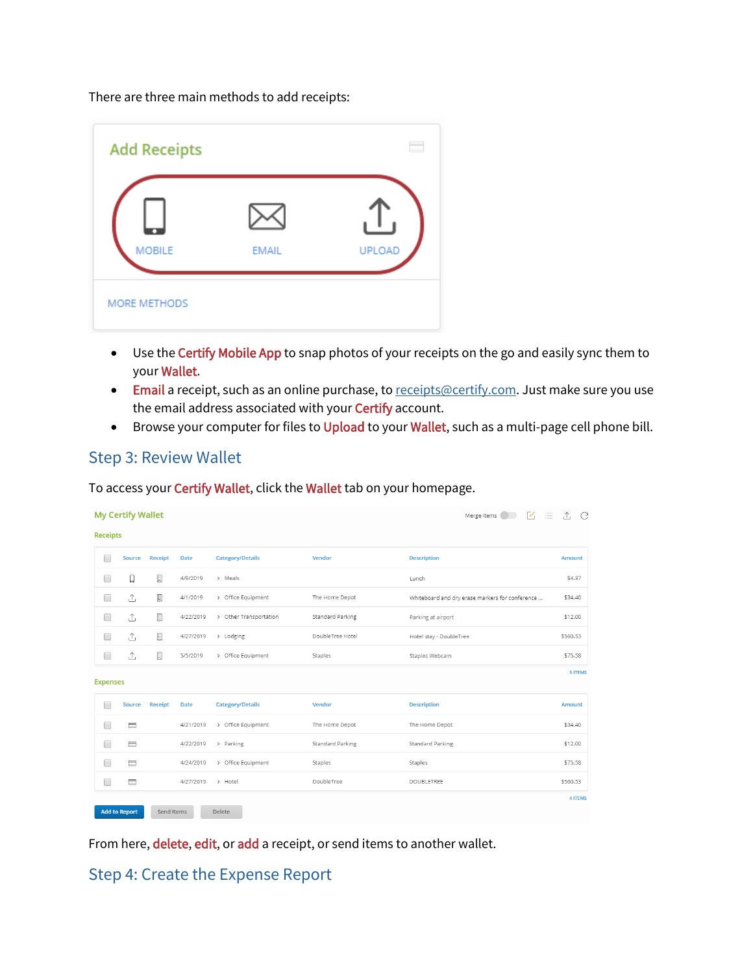There are three main methods to add receipts:

| <b>Add Receipts</b> |              | $\frac{1}{2}$ |
|---------------------|--------------|---------------|
| <b>MOBILE</b>       | <b>EMAIL</b> | <b>UPLOAD</b> |
| <b>MORE METHODS</b> |              |               |

- Use the Certify Mobile App to snap photos of your receipts on the go and easily sync them to your Wallet.
- Email a receipt, such as an online purchase, t[o receipts@certify.com.](mailto:receipts@certify.com) Just make sure you use the email address associated with your Certify account.
- Browse your computer for files to Upload to your Wallet, such as a multi-page cell phone bill.

## Step 3: Review Wallet

To access your Certify Wallet, click the Wallet tab on your homepage.

| <b>My Certify Wallet</b><br>$\mathcal{L}$<br>Merge Items<br>三 |                      |                |             |                         |                         |                                                 | C<br>$\uparrow$ |
|---------------------------------------------------------------|----------------------|----------------|-------------|-------------------------|-------------------------|-------------------------------------------------|-----------------|
| <b>Receipts</b>                                               |                      |                |             |                         |                         |                                                 |                 |
| □                                                             | Source               | Receipt        | <b>Date</b> | <b>Category/Details</b> | Vendor                  | <b>Description</b>                              | <b>Amount</b>   |
| □                                                             | ū                    | E              | 4/9/2019    | > Meals                 |                         | Lunch                                           | \$4.37          |
| □                                                             | Ĵ,                   | E              | 4/1/2019    | > Office Equipment      | The Home Depot          | Whiteboard and dry erase markers for conference | \$34.40         |
| □                                                             | ⚠                    | E              | 4/22/2019   | > Other Transportation  | <b>Standard Parking</b> | Parking at airport                              | \$12.00         |
| $\Box$                                                        | $\uparrow$           | E              | 4/27/2019   | > Lodging               | DoubleTree Hotel        | Hotel stay - DoubleTree                         | \$560.53        |
| $\Box$                                                        | ↥                    | E              | 5/5/2019    | > Office Equipment      | Staples                 | Staples Webcam                                  | \$75.58         |
| <b>Expenses</b>                                               |                      |                |             |                         |                         |                                                 | <b>5 ITEMS</b>  |
| □                                                             | <b>Source</b>        | <b>Receipt</b> | <b>Date</b> | <b>Category/Details</b> | Vendor                  | <b>Description</b>                              | Amount          |
| □                                                             | $\equiv$             |                | 4/21/2019   | > Office Equipment      | The Home Depot          | The Home Depot                                  | \$34.40         |
| □                                                             | $\equiv$             |                | 4/22/2019   | > Parking               | Standard Parking        | <b>Standard Parking</b>                         | \$12.00         |
| □                                                             | $\Box$               |                | 4/24/2019   | > Office Equipment      | Staples                 | Staples                                         | \$75.58         |
| $\Box$                                                        | $\equiv$             |                | 4/27/2019   | > Hotel                 | DoubleTree              | <b>DOUBLETREE</b>                               | \$560.53        |
|                                                               |                      |                |             |                         |                         |                                                 | <b>4 ITEMS</b>  |
|                                                               | <b>Add to Report</b> | Send Items     |             | Delete                  |                         |                                                 |                 |

From here, delete, edit, or add a receipt, or send items to another wallet.

Step 4: Create the Expense Report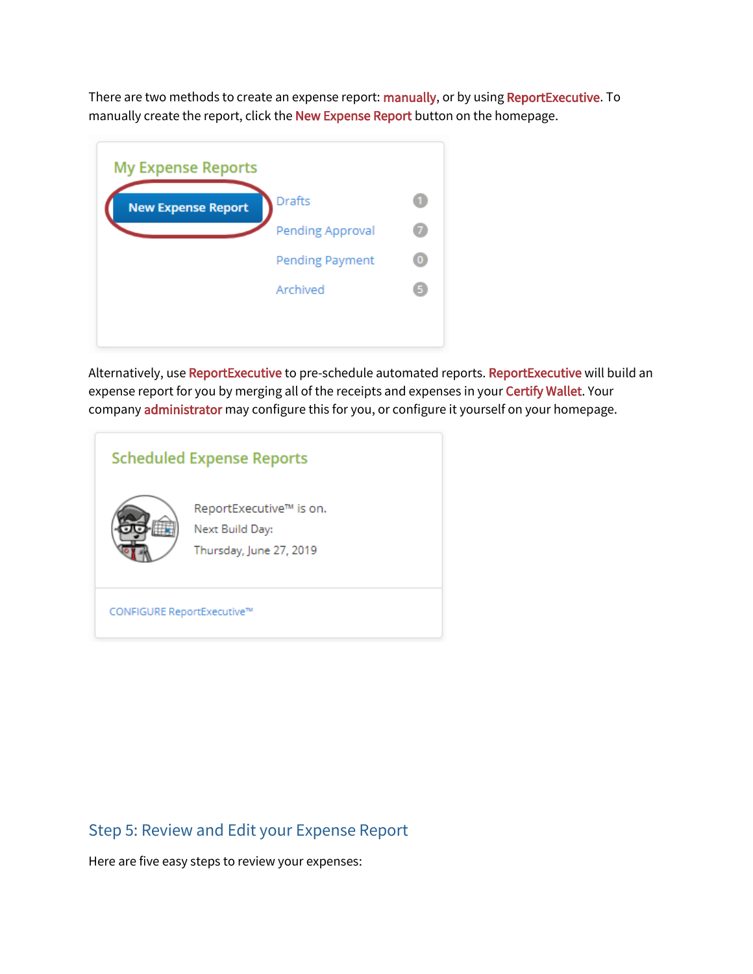There are two methods to create an expense report: manually, or by using ReportExecutive. To manually create the report, click the New Expense Report button on the homepage.

| <b>My Expense Reports</b> |                         |  |
|---------------------------|-------------------------|--|
| <b>New Expense Report</b> | <b>Drafts</b>           |  |
|                           | <b>Pending Approval</b> |  |
|                           | Pending Payment         |  |
|                           | Archived                |  |
|                           |                         |  |

Alternatively, use ReportExecutive to pre-schedule automated reports. ReportExecutive will build an expense report for you by merging all of the receipts and expenses in your Certify Wallet. Your company administrator may configure this for you, or configure it yourself on your homepage.

| <b>Scheduled Expense Reports</b> |                                                                       |  |  |  |
|----------------------------------|-----------------------------------------------------------------------|--|--|--|
|                                  | ReportExecutive™ is on.<br>Next Build Day:<br>Thursday, June 27, 2019 |  |  |  |
| CONFIGURE ReportExecutive™       |                                                                       |  |  |  |

# Step 5: Review and Edit your Expense Report

Here are five easy steps to review your expenses: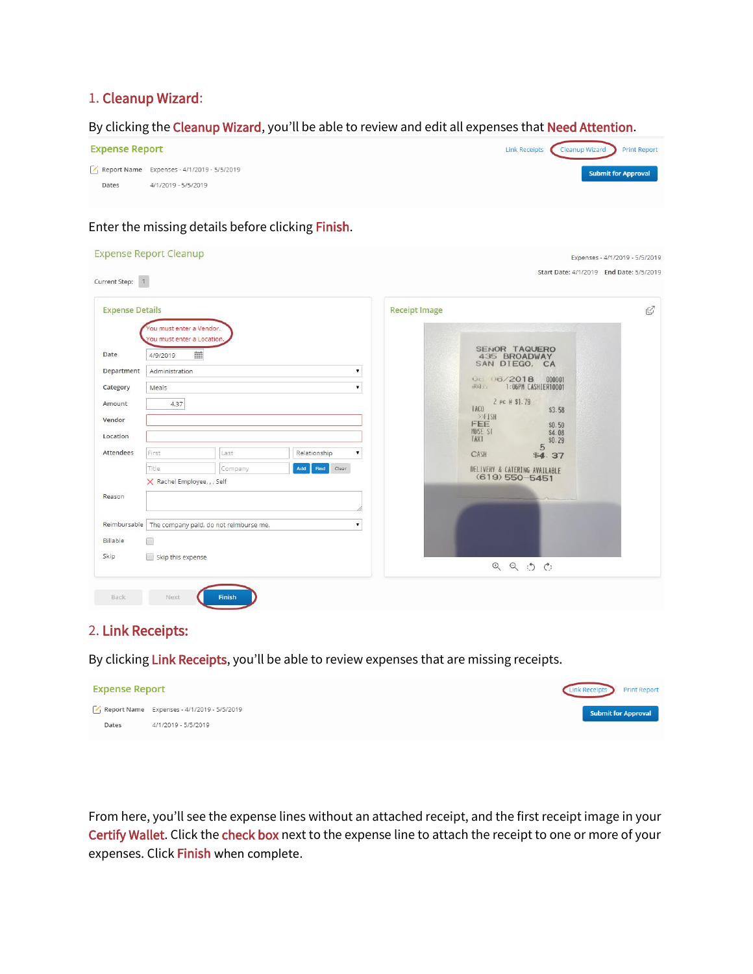## 1. Cleanup Wizard:

#### By clicking the Cleanup Wizard, you'll be able to review and edit all expenses that Need Attention.



## Enter the missing details before clicking Finish.

| <b>Expense Details</b>                             |                                                                                                          |                                                       |   | <b>Receipt Image</b>                                                                                                                            | $\mathcal{Q}$                        |
|----------------------------------------------------|----------------------------------------------------------------------------------------------------------|-------------------------------------------------------|---|-------------------------------------------------------------------------------------------------------------------------------------------------|--------------------------------------|
| Date<br>Department<br>Category<br>Amount<br>Vendor | You must enter a Vendor.<br>ou must enter a Location<br>譜<br>4/9/2019<br>Administration<br>Meals<br>4.37 |                                                       |   | SENOR TAQUERO<br>435 BROADWAY<br>SAN DIEGO, CA<br>06 06/2018<br>1:06PM CASHIER10001<br>中国主<br>2 PC @ \$1.79<br>TACO<br>> FISH<br>FEE<br>MUSE ST | 000001<br>\$3.58<br>\$0.50<br>\$4.08 |
| Location<br>Attendees                              | First<br>Relationship<br>Last<br>Title<br>Add<br>Clear<br>Company<br>Find<br>X Rachel Employee, , , Self |                                                       |   | <b>TAX1</b><br>5<br>CASH<br>\$4.37<br>DELIVERY & CATERING AVAILABLE<br>$(619)$ 550-5451                                                         | \$0.29                               |
| Reason                                             |                                                                                                          |                                                       |   |                                                                                                                                                 |                                      |
|                                                    |                                                                                                          | Reimbursable   The company paid, do not reimburse me. | ▼ |                                                                                                                                                 |                                      |
| Billable<br>Skip                                   | ⋒<br>Skip this expense                                                                                   |                                                       |   | $\begin{array}{ccc} \mathfrak{D} & \mathfrak{D} & \mathfrak{D} & \mathfrak{C} \end{array}$                                                      |                                      |

## 2. Link Receipts:

By clicking Link Receipts, you'll be able to review expenses that are missing receipts.



From here, you'll see the expense lines without an attached receipt, and the first receipt image in your Certify Wallet. Click the check box next to the expense line to attach the receipt to one or more of your expenses. Click Finish when complete.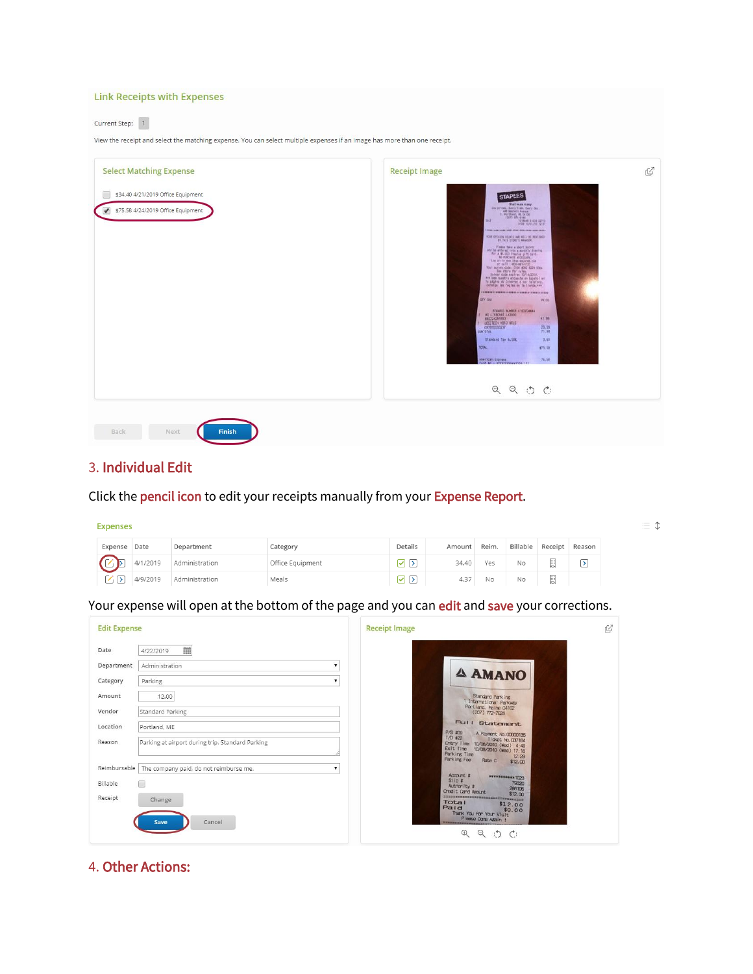| <b>Link Receipts with Expenses</b>                                                                                                              |                                                                                                                                                                                                                                                                                                                                                                                                                                                                                                                                                                                                                                                                                                                                                                                                                                                                                                                                                                                                                                                                                                                                                                                                                                                                                                                                                                                                                                         |
|-------------------------------------------------------------------------------------------------------------------------------------------------|-----------------------------------------------------------------------------------------------------------------------------------------------------------------------------------------------------------------------------------------------------------------------------------------------------------------------------------------------------------------------------------------------------------------------------------------------------------------------------------------------------------------------------------------------------------------------------------------------------------------------------------------------------------------------------------------------------------------------------------------------------------------------------------------------------------------------------------------------------------------------------------------------------------------------------------------------------------------------------------------------------------------------------------------------------------------------------------------------------------------------------------------------------------------------------------------------------------------------------------------------------------------------------------------------------------------------------------------------------------------------------------------------------------------------------------------|
| Current Step:<br>1<br>View the receipt and select the matching expense. You can select multiple expenses if an image has more than one receipt. |                                                                                                                                                                                                                                                                                                                                                                                                                                                                                                                                                                                                                                                                                                                                                                                                                                                                                                                                                                                                                                                                                                                                                                                                                                                                                                                                                                                                                                         |
| <b>Select Matching Expense</b><br>\$34.40 4/21/2019 Office Equipment<br>$\blacktriangledown$<br>\$75.58 4/24/2019 Office Equipment              | Ø<br><b>Receipt Image</b><br><b>STAPLES</b><br>that was easy.<br>$\begin{tabular}{c c c c} \hline & \multicolumn{3}{c}{\textbf{LSP 2-1008}} & \multicolumn{3}{c}{\textbf{LSP 2-1008}} & \multicolumn{3}{c}{\textbf{LSP 2-1008}} & \multicolumn{3}{c}{\textbf{LSP 2-1008}} & \multicolumn{3}{c}{\textbf{LSP 2-1008}} & \multicolumn{3}{c}{\textbf{LSP 2-1008}} & \multicolumn{3}{c}{\textbf{LSP 2-1008}} & \multicolumn{3}{c}{\textbf{LSP 2-1008}} & \multicolumn{3}{c}{\$<br><b>TALE</b><br>YOUR OFENEDY COUNTE AND WELL BE REVENUED<br>$\begin{array}{c} \text{Pisons time a short survey} \\ \text{and be ordered into a nearly density} \\ \text{for a 45,000 trials g,} \\ \text{for a 65,000 trials g,} \\ \text{so AICOMM MICEMM}, \end{array}$<br>Log on 10 was 31a0-leadered com<br>or call 1-800-881-1723<br>Four survey code: 0100 4082 6228 5304<br>See atore for rules.<br>Survey code expires 10/14/2010.<br>seatone mustre encuenta en Español en la pagina de Internet o por telefono.<br>Consiga les règles en la tienta est<br>ary sky<br>PRICK<br>RENARDS MUNICIP 4190704444<br>MS LIFEONAT LK3000<br>882224251853<br>41.99<br><b>1 LOGITECH HOTO WELS</b><br>29.99<br>097855088237<br>SUBTOTAL<br>71.98<br>Standard Tax 5.00%<br>3.50<br>TBTAL<br>\$75.58<br>Aterican Express<br>75.58<br>Card No. : XXXXXXXXXXXXXXXXX<br>$\begin{array}{ccc} \mathfrak{D} & \mathfrak{D} & \mathfrak{D} & \mathfrak{C} \end{array}$ |
| Back<br><b>Finish</b><br>Next                                                                                                                   |                                                                                                                                                                                                                                                                                                                                                                                                                                                                                                                                                                                                                                                                                                                                                                                                                                                                                                                                                                                                                                                                                                                                                                                                                                                                                                                                                                                                                                         |

## 3. Individual Edit

Click the pencil icon to edit your receipts manually from your Expense Report.

| <b>Expenses</b> |          |                |                  |         |        |       |    |                  |        |
|-----------------|----------|----------------|------------------|---------|--------|-------|----|------------------|--------|
| Expense Date    |          | Department     | Category         | Details | Amount | Reim. |    | Billable Receipt | Reason |
|                 | 4/1/2019 | Administration | Office Equipment | ☑ ⊵     | 34.40  | Yes   | No | 圓                | D.     |
| イト              | 4/9/2019 | Administration | Meals            | ⊘ ⊵     | 4.37   | No    | No | 圓                |        |

 $\equiv$   $\text{\textsterling}$ 

Your expense will open at the bottom of the page and you can edit and save your corrections.

| <b>Edit Expense</b>                                                      |                                                                                                                                                     | <b>Receipt Image</b>                                                                                                                                                                                                                                                                                                                                                                                                      | C |
|--------------------------------------------------------------------------|-----------------------------------------------------------------------------------------------------------------------------------------------------|---------------------------------------------------------------------------------------------------------------------------------------------------------------------------------------------------------------------------------------------------------------------------------------------------------------------------------------------------------------------------------------------------------------------------|---|
| Date<br>Department<br>Category<br>Amount<br>Vendor<br>Location<br>Reason | 盖<br>4/22/2019<br>Administration<br>Parking<br>12.00<br><b>Standard Parking</b><br>Portland, ME<br>Parking at airport during trip. Standard Parking | <b>4 AMANO</b><br><b>Standard Parking</b><br>1 International Parkway<br>Partland, Maine 04102<br>$(207)$ $772 - 7028$<br>Full Statement<br>$P/S = QQ$<br>A Payment, No. 00000135<br>$T/D = 222$<br>Ticket No. 037164                                                                                                                                                                                                      |   |
| Reimbursable<br>Billable<br>Receipt                                      | The company paid, do not reimburse me.<br>□<br>Change<br>Cancel<br>Save                                                                             | Entry Time 10/06/2010 (Wed) 4:49<br>Exit Time<br>10/06/2010 (Wed) 17:18<br>Parking Time<br>12:29<br>Park Ing Fee<br>Rate C<br>\$12,00<br>Account #<br><b>STREAMWAY 1023</b><br>Slip #<br>79320<br>Authority #<br>286105<br>Chedit Card Amount<br>\$12,00<br>Total<br>\$12.00<br>Paid<br>\$0.00<br>Thank You for Your Visit<br>Please Core Again !<br><b>HERRICESSEN</b><br>$\odot$<br>$\Theta$<br>$\phi$<br>$\mathcal{C}$ |   |

## 4. Other Actions: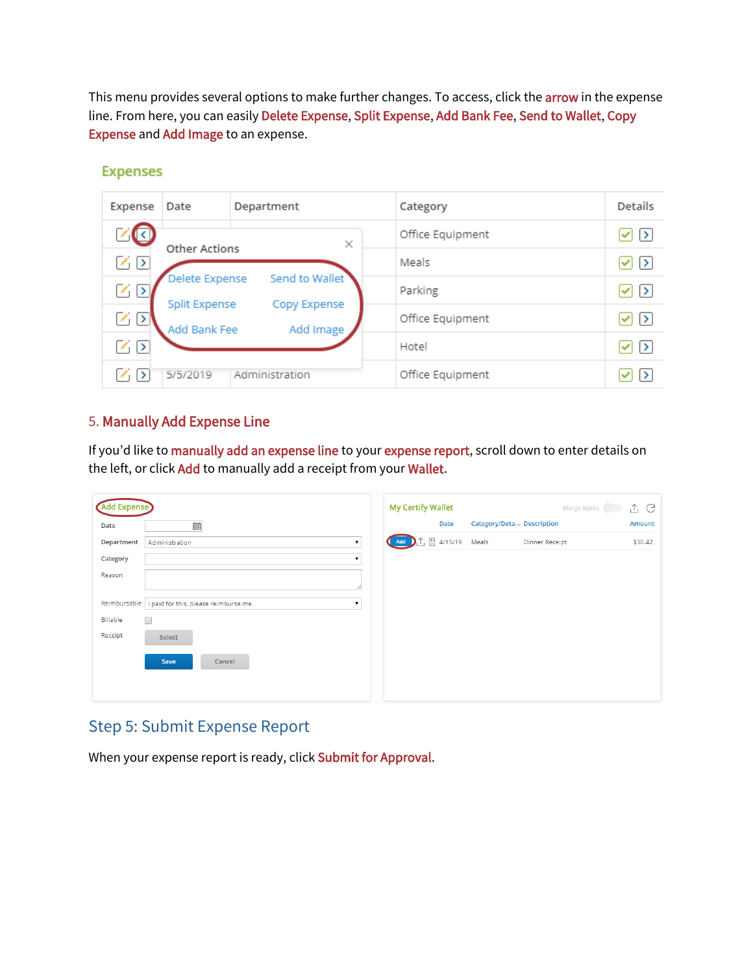This menu provides several options to make further changes. To access, click the **arrow** in the expense line. From here, you can easily Delete Expense, Split Expense, Add Bank Fee, Send to Wallet, Copy Expense and Add Image to an expense.

| Expense         | Date                          | Department                | Category         | Details          |
|-----------------|-------------------------------|---------------------------|------------------|------------------|
|                 | Other Actions                 | $\times$                  | Office Equipment | √ ⇒              |
| $\sim$ $\sim$   |                               |                           | Meals            | 1 ⊵              |
| $\sim$ $\sigma$ | Delete Expense                | Send to Wallet            | Parking          | 7 [∑             |
|                 | Split Expense<br>Add Bank Fee | Copy Expense<br>Add Image | Office Equipment | $\triangleright$ |
| $\sqrt{5}$      |                               |                           | Hotel            | ✓ ⇒              |
|                 | 5/5/2019                      | Administration            | Office Equipment |                  |

#### **Expenses**

## 5. Manually Add Expense Line

If you'd like to manually add an expense line to your expense report, scroll down to enter details on the left, or click Add to manually add a receipt from your Wallet.

| Category/Deta Description<br>Date<br>曲<br>图 4/15/19<br>Meals<br>Dinner Receipt<br>Add<br>Administration<br>$\pmb{\mathrm{v}}$<br>I paid for this, please reimburse me.<br>$\Box$<br>Select<br>Save<br>Cancel | <b>Add Expense</b> | <b>My Certify Wallet</b> | Merge Items | î G     |
|--------------------------------------------------------------------------------------------------------------------------------------------------------------------------------------------------------------|--------------------|--------------------------|-------------|---------|
| Department<br>Category<br>Reason<br>Reimbursable<br>Billable<br>Receipt                                                                                                                                      | Date               |                          |             | Amount  |
|                                                                                                                                                                                                              |                    |                          |             | \$30.42 |
|                                                                                                                                                                                                              |                    |                          |             |         |
|                                                                                                                                                                                                              |                    |                          |             |         |
|                                                                                                                                                                                                              |                    |                          |             |         |
|                                                                                                                                                                                                              |                    |                          |             |         |
|                                                                                                                                                                                                              |                    |                          |             |         |
|                                                                                                                                                                                                              |                    |                          |             |         |
|                                                                                                                                                                                                              |                    |                          |             |         |

# Step 5: Submit Expense Report

When your expense report is ready, click Submit for Approval.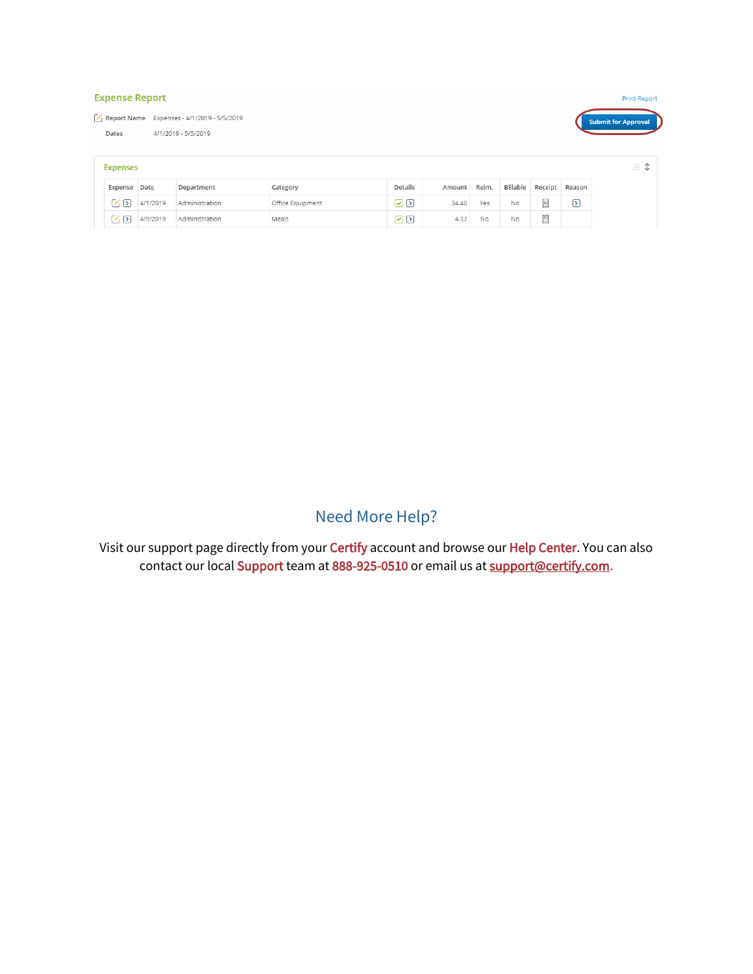| <b>Expense Report</b>                                                                                    |              |                |                  |          |        |       |           |         | <b>Print Report</b>     |                      |
|----------------------------------------------------------------------------------------------------------|--------------|----------------|------------------|----------|--------|-------|-----------|---------|-------------------------|----------------------|
| Report Name Expenses - 4/1/2019 - 5/5/2019<br><b>Submit for Approval</b><br>4/1/2019 - 5/5/2019<br>Dates |              |                |                  |          |        |       |           |         |                         |                      |
| <b>Expenses</b>                                                                                          |              |                |                  |          |        |       |           |         |                         | $\uparrow$<br>三<br>◡ |
|                                                                                                          | Expense Date | Department     | Category         | Details  | Amount | Reim. | Billable  | Receipt | Reason                  |                      |
| 乙区                                                                                                       | 4/1/2019     | Administration | Office Equipment | $\Omega$ | 34.40  | Yes   | No        | 圓       | $\overline{\mathbf{z}}$ |                      |
| ☑▷                                                                                                       | 4/9/2019     | Administration | Meals            | ☑ ⊵      | 4.37   | No    | <b>No</b> | 圓       |                         |                      |

# Need More Help?

Visit our support page directly from your Certify account and browse our Help Center. You can also contact our local Support team at 888-925-0510 or email us at [support@certify.com.](mailto:support@certify.com)